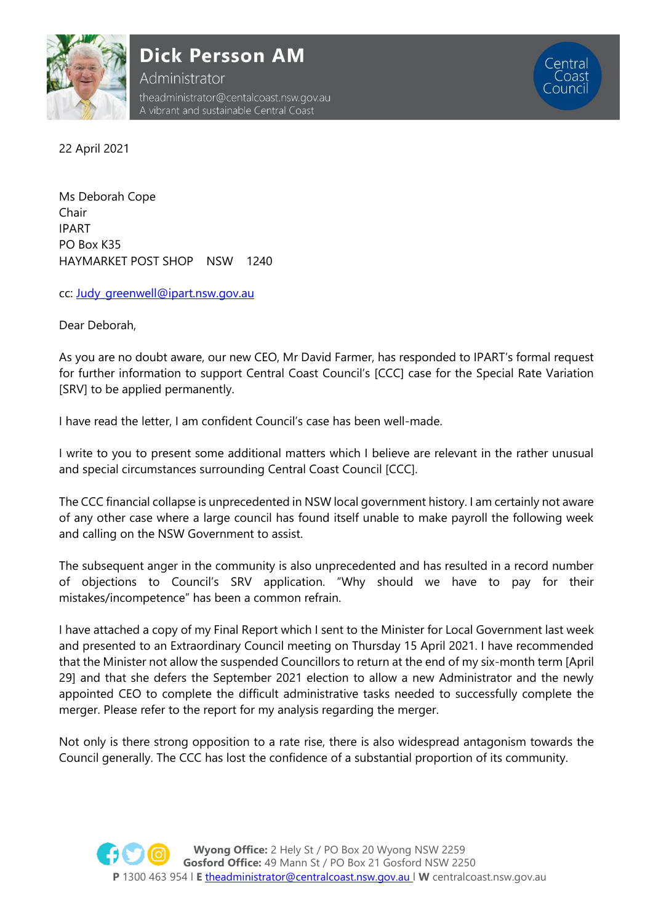

**Dick Persson AM** 

Administrator theadministrator@centalcoast.nsw.gov.au A vibrant and sustainable Central Coast

22 April 2021

Ms Deborah Cope Chair IPART PO Box K35 HAYMARKET POST SHOP NSW 1240

cc: [Judy\\_greenwell@ipart.nsw.gov.au](mailto:Judy_greenwell@ipart.nsw.gov.au)

Dear Deborah,

As you are no doubt aware, our new CEO, Mr David Farmer, has responded to IPART's formal request for further information to support Central Coast Council's [CCC] case for the Special Rate Variation [SRV] to be applied permanently.

I have read the letter, I am confident Council's case has been well-made.

I write to you to present some additional matters which I believe are relevant in the rather unusual and special circumstances surrounding Central Coast Council [CCC].

The CCC financial collapse is unprecedented in NSW local government history. I am certainly not aware of any other case where a large council has found itself unable to make payroll the following week and calling on the NSW Government to assist.

The subsequent anger in the community is also unprecedented and has resulted in a record number of objections to Council's SRV application. "Why should we have to pay for their mistakes/incompetence" has been a common refrain.

I have attached a copy of my Final Report which I sent to the Minister for Local Government last week and presented to an Extraordinary Council meeting on Thursday 15 April 2021. I have recommended that the Minister not allow the suspended Councillors to return at the end of my six-month term [April 29] and that she defers the September 2021 election to allow a new Administrator and the newly appointed CEO to complete the difficult administrative tasks needed to successfully complete the merger. Please refer to the report for my analysis regarding the merger.

Not only is there strong opposition to a rate rise, there is also widespread antagonism towards the Council generally. The CCC has lost the confidence of a substantial proportion of its community.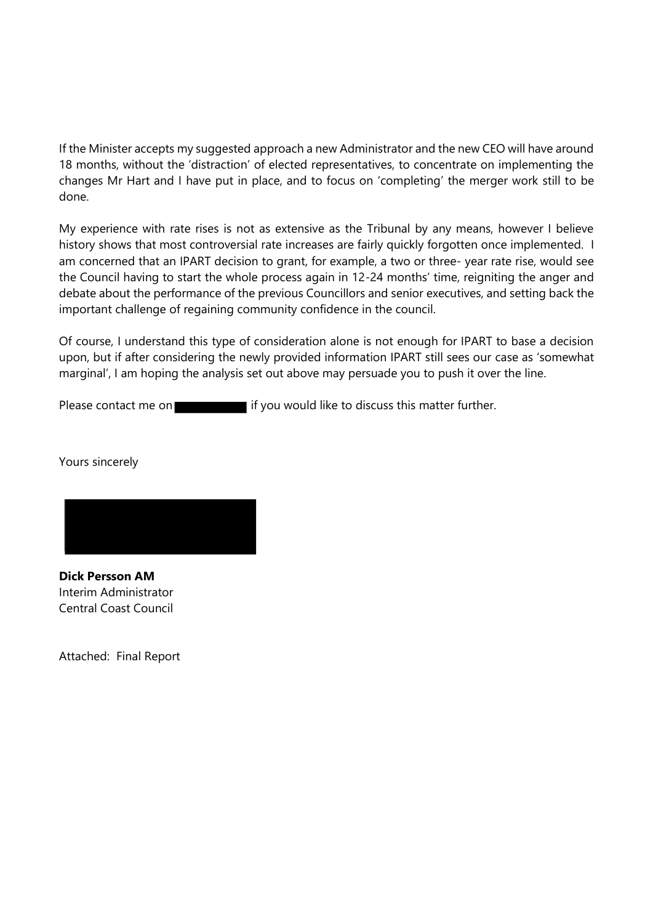If the Minister accepts my suggested approach a new Administrator and the new CEO will have around 18 months, without the 'distraction' of elected representatives, to concentrate on implementing the changes Mr Hart and I have put in place, and to focus on 'completing' the merger work still to be done.

My experience with rate rises is not as extensive as the Tribunal by any means, however I believe history shows that most controversial rate increases are fairly quickly forgotten once implemented. I am concerned that an IPART decision to grant, for example, a two or three- year rate rise, would see the Council having to start the whole process again in 12-24 months' time, reigniting the anger and debate about the performance of the previous Councillors and senior executives, and setting back the important challenge of regaining community confidence in the council.

Of course, I understand this type of consideration alone is not enough for IPART to base a decision upon, but if after considering the newly provided information IPART still sees our case as 'somewhat marginal', I am hoping the analysis set out above may persuade you to push it over the line.

Please contact me on **if you would like to discuss this matter further.** 

Yours sincerely



**Dick Persson AM** Interim Administrator Central Coast Council

Attached: Final Report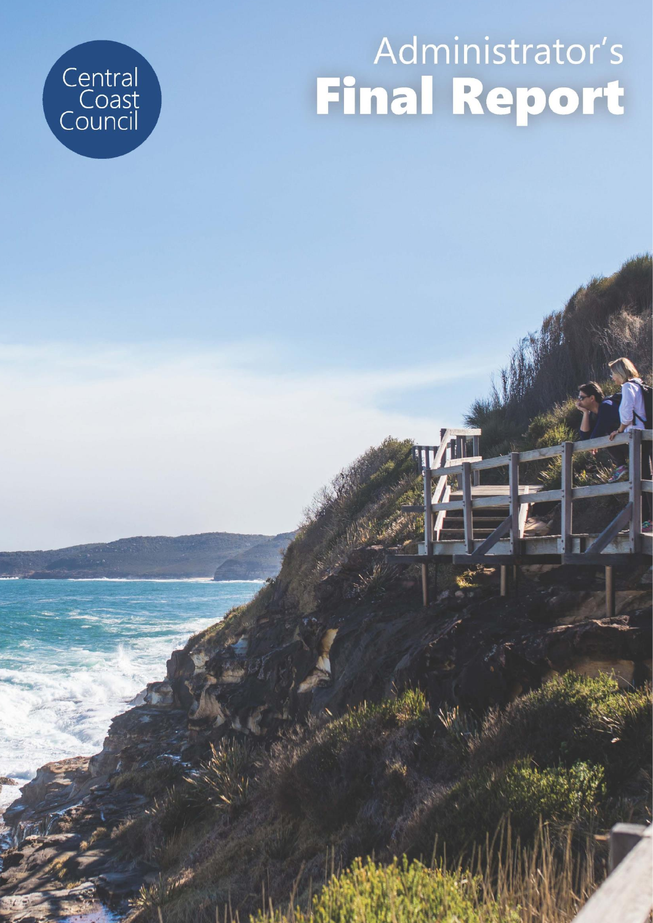# $\overline{\mathsf{Admin}}$  **Reporting & Report Final Report**

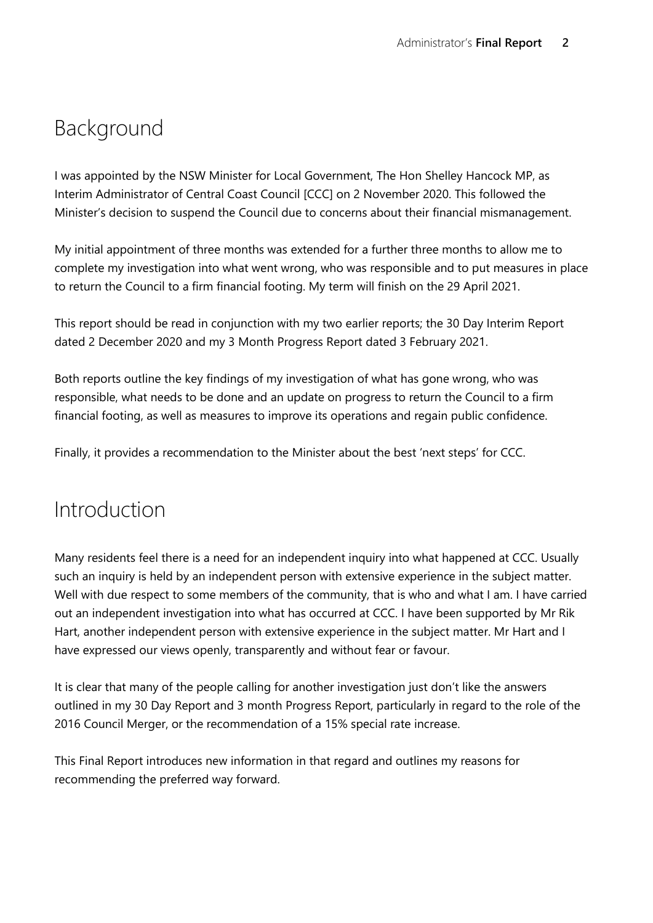## Background

I was appointed by the NSW Minister for Local Government, The Hon Shelley Hancock MP, as Interim Administrator of Central Coast Council [CCC] on 2 November 2020. This followed the Minister's decision to suspend the Council due to concerns about their financial mismanagement.

My initial appointment of three months was extended for a further three months to allow me to complete my investigation into what went wrong, who was responsible and to put measures in place to return the Council to a firm financial footing. My term will finish on the 29 April 2021.

This report should be read in conjunction with my two earlier reports; the 30 Day Interim Report dated 2 December 2020 and my 3 Month Progress Report dated 3 February 2021.

Both reports outline the key findings of my investigation of what has gone wrong, who was responsible, what needs to be done and an update on progress to return the Council to a firm financial footing, as well as measures to improve its operations and regain public confidence.

Finally, it provides a recommendation to the Minister about the best 'next steps' for CCC.

#### Introduction

Many residents feel there is a need for an independent inquiry into what happened at CCC. Usually such an inquiry is held by an independent person with extensive experience in the subject matter. Well with due respect to some members of the community, that is who and what I am. I have carried out an independent investigation into what has occurred at CCC. I have been supported by Mr Rik Hart, another independent person with extensive experience in the subject matter. Mr Hart and I have expressed our views openly, transparently and without fear or favour.

It is clear that many of the people calling for another investigation just don't like the answers outlined in my 30 Day Report and 3 month Progress Report, particularly in regard to the role of the 2016 Council Merger, or the recommendation of a 15% special rate increase.

This Final Report introduces new information in that regard and outlines my reasons for recommending the preferred way forward.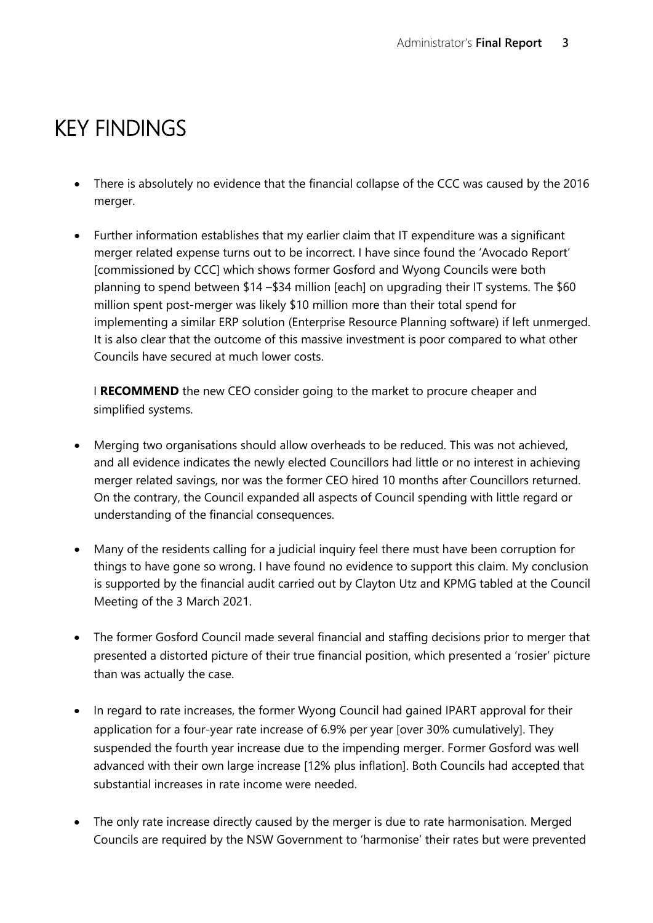## KEY FINDINGS

- There is absolutely no evidence that the financial collapse of the CCC was caused by the 2016 merger.
- Further information establishes that my earlier claim that IT expenditure was a significant merger related expense turns out to be incorrect. I have since found the 'Avocado Report' [commissioned by CCC] which shows former Gosford and Wyong Councils were both planning to spend between \$14 –\$34 million [each] on upgrading their IT systems. The \$60 million spent post-merger was likely \$10 million more than their total spend for implementing a similar ERP solution (Enterprise Resource Planning software) if left unmerged. It is also clear that the outcome of this massive investment is poor compared to what other Councils have secured at much lower costs.

I **RECOMMEND** the new CEO consider going to the market to procure cheaper and simplified systems.

- Merging two organisations should allow overheads to be reduced. This was not achieved, and all evidence indicates the newly elected Councillors had little or no interest in achieving merger related savings, nor was the former CEO hired 10 months after Councillors returned. On the contrary, the Council expanded all aspects of Council spending with little regard or understanding of the financial consequences.
- Many of the residents calling for a judicial inquiry feel there must have been corruption for things to have gone so wrong. I have found no evidence to support this claim. My conclusion is supported by the financial audit carried out by Clayton Utz and KPMG tabled at the Council Meeting of the 3 March 2021.
- The former Gosford Council made several financial and staffing decisions prior to merger that presented a distorted picture of their true financial position, which presented a 'rosier' picture than was actually the case.
- In regard to rate increases, the former Wyong Council had gained IPART approval for their application for a four-year rate increase of 6.9% per year [over 30% cumulatively]. They suspended the fourth year increase due to the impending merger. Former Gosford was well advanced with their own large increase [12% plus inflation]. Both Councils had accepted that substantial increases in rate income were needed.
- The only rate increase directly caused by the merger is due to rate harmonisation. Merged Councils are required by the NSW Government to 'harmonise' their rates but were prevented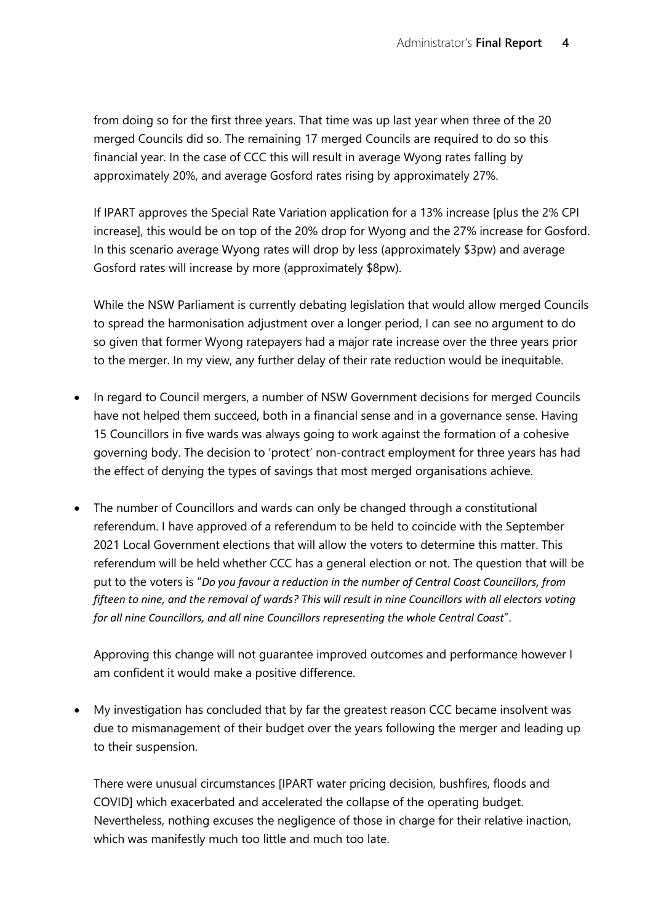from doing so for the first three years. That time was up last year when three of the 20 merged Councils did so. The remaining 17 merged Councils are required to do so this financial year. In the case of CCC this will result in average Wyong rates falling by approximately 20%, and average Gosford rates rising by approximately 27%.

If IPART approves the Special Rate Variation application for a 13% increase [plus the 2% CPI increase], this would be on top of the 20% drop for Wyong and the 27% increase for Gosford. In this scenario average Wyong rates will drop by less (approximately \$3pw) and average Gosford rates will increase by more (approximately \$8pw).

While the NSW Parliament is currently debating legislation that would allow merged Councils to spread the harmonisation adjustment over a longer period, I can see no argument to do so given that former Wyong ratepayers had a major rate increase over the three years prior to the merger. In my view, any further delay of their rate reduction would be inequitable.

- In regard to Council mergers, a number of NSW Government decisions for merged Councils have not helped them succeed, both in a financial sense and in a governance sense. Having 15 Councillors in five wards was always going to work against the formation of a cohesive governing body. The decision to 'protect' non-contract employment for three years has had the effect of denying the types of savings that most merged organisations achieve.
- The number of Councillors and wards can only be changed through a constitutional referendum. I have approved of a referendum to be held to coincide with the September 2021 Local Government elections that will allow the voters to determine this matter. This referendum will be held whether CCC has a general election or not. The question that will be put to the voters is "*Do you favour a reduction in the number of Central Coast Councillors, from fifteen to nine, and the removal of wards? This will result in nine Councillors with all electors voting for all nine Councillors, and all nine Councillors representing the whole Central Coast*".

Approving this change will not guarantee improved outcomes and performance however I am confident it would make a positive difference.

• My investigation has concluded that by far the greatest reason CCC became insolvent was due to mismanagement of their budget over the years following the merger and leading up to their suspension.

There were unusual circumstances [IPART water pricing decision, bushfires, floods and COVID] which exacerbated and accelerated the collapse of the operating budget. Nevertheless, nothing excuses the negligence of those in charge for their relative inaction, which was manifestly much too little and much too late.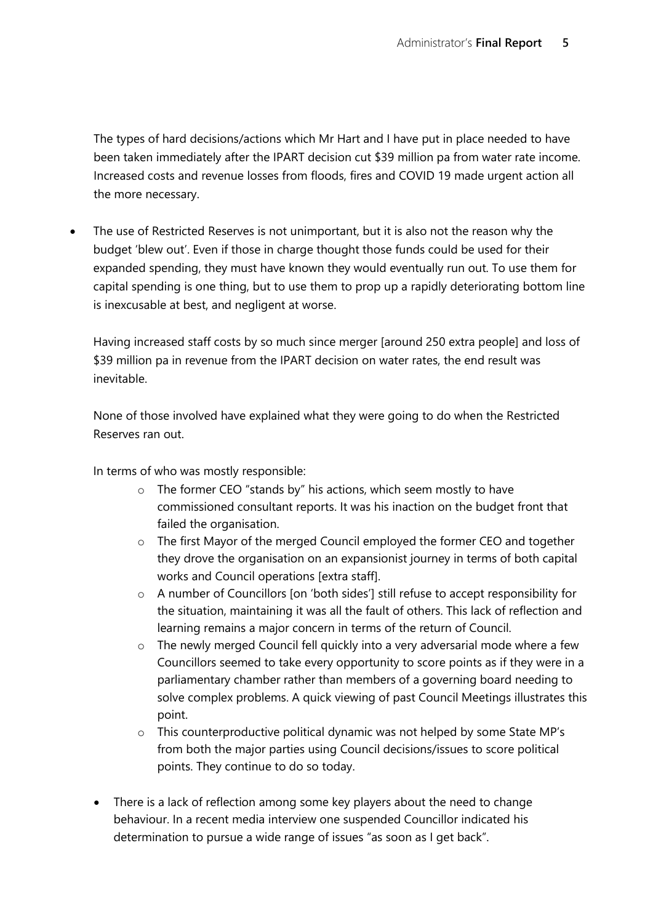The types of hard decisions/actions which Mr Hart and I have put in place needed to have been taken immediately after the IPART decision cut \$39 million pa from water rate income. Increased costs and revenue losses from floods, fires and COVID 19 made urgent action all the more necessary.

• The use of Restricted Reserves is not unimportant, but it is also not the reason why the budget 'blew out'. Even if those in charge thought those funds could be used for their expanded spending, they must have known they would eventually run out. To use them for capital spending is one thing, but to use them to prop up a rapidly deteriorating bottom line is inexcusable at best, and negligent at worse.

Having increased staff costs by so much since merger [around 250 extra people] and loss of \$39 million pa in revenue from the IPART decision on water rates, the end result was inevitable.

None of those involved have explained what they were going to do when the Restricted Reserves ran out.

In terms of who was mostly responsible:

- o The former CEO "stands by" his actions, which seem mostly to have commissioned consultant reports. It was his inaction on the budget front that failed the organisation.
- o The first Mayor of the merged Council employed the former CEO and together they drove the organisation on an expansionist journey in terms of both capital works and Council operations [extra staff].
- o A number of Councillors [on 'both sides'] still refuse to accept responsibility for the situation, maintaining it was all the fault of others. This lack of reflection and learning remains a major concern in terms of the return of Council.
- o The newly merged Council fell quickly into a very adversarial mode where a few Councillors seemed to take every opportunity to score points as if they were in a parliamentary chamber rather than members of a governing board needing to solve complex problems. A quick viewing of past Council Meetings illustrates this point.
- o This counterproductive political dynamic was not helped by some State MP's from both the major parties using Council decisions/issues to score political points. They continue to do so today.
- There is a lack of reflection among some key players about the need to change behaviour. In a recent media interview one suspended Councillor indicated his determination to pursue a wide range of issues "as soon as I get back".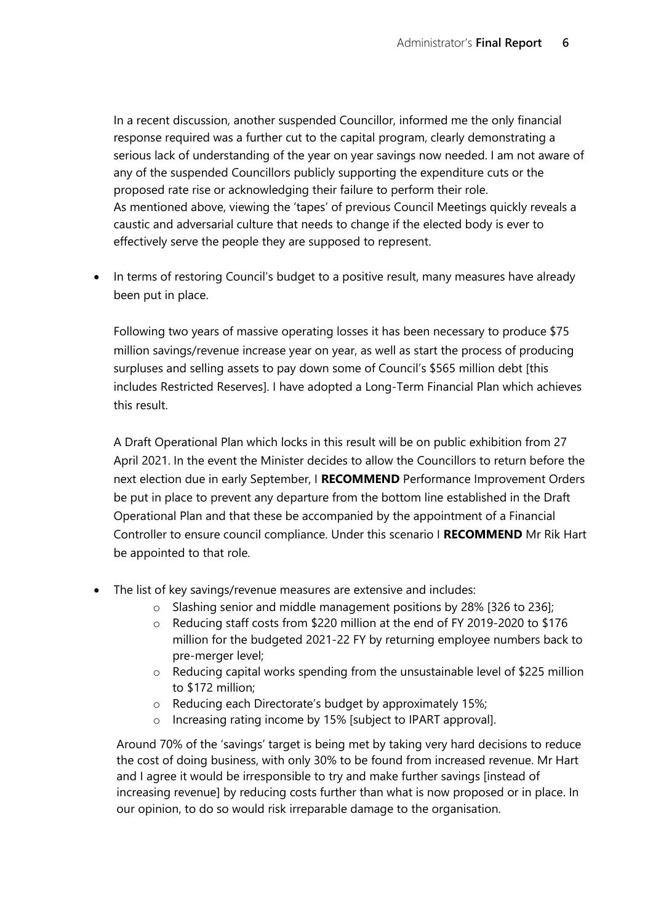In a recent discussion, another suspended Councillor, informed me the only financial response required was a further cut to the capital program, clearly demonstrating a serious lack of understanding of the year on year savings now needed. I am not aware of any of the suspended Councillors publicly supporting the expenditure cuts or the proposed rate rise or acknowledging their failure to perform their role. As mentioned above, viewing the 'tapes' of previous Council Meetings quickly reveals a caustic and adversarial culture that needs to change if the elected body is ever to effectively serve the people they are supposed to represent.

In terms of restoring Council's budget to a positive result, many measures have already been put in place.

Following two years of massive operating losses it has been necessary to produce \$75 million savings/revenue increase year on year, as well as start the process of producing surpluses and selling assets to pay down some of Council's \$565 million debt [this includes Restricted Reserves]. I have adopted a Long-Term Financial Plan which achieves this result.

A Draft Operational Plan which locks in this result will be on public exhibition from 27 April 2021. In the event the Minister decides to allow the Councillors to return before the next election due in early September, I **RECOMMEND** Performance Improvement Orders be put in place to prevent any departure from the bottom line established in the Draft Operational Plan and that these be accompanied by the appointment of a Financial Controller to ensure council compliance. Under this scenario I **RECOMMEND** Mr Rik Hart be appointed to that role.

- The list of key savings/revenue measures are extensive and includes:
	- o Slashing senior and middle management positions by 28% [326 to 236];
	- o Reducing staff costs from \$220 million at the end of FY 2019-2020 to \$176 million for the budgeted 2021-22 FY by returning employee numbers back to pre-merger level;
	- o Reducing capital works spending from the unsustainable level of \$225 million to \$172 million;
	- o Reducing each Directorate's budget by approximately 15%;
	- o Increasing rating income by 15% [subject to IPART approval].

Around 70% of the 'savings' target is being met by taking very hard decisions to reduce the cost of doing business, with only 30% to be found from increased revenue. Mr Hart and I agree it would be irresponsible to try and make further savings [instead of increasing revenue] by reducing costs further than what is now proposed or in place. In our opinion, to do so would risk irreparable damage to the organisation.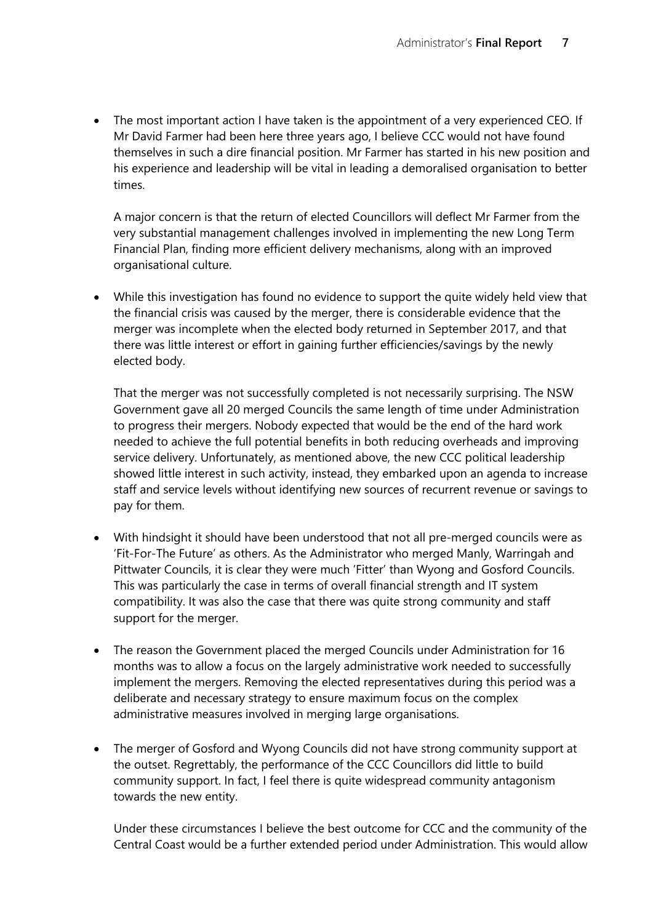The most important action I have taken is the appointment of a very experienced CEO. If Mr David Farmer had been here three years ago, I believe CCC would not have found themselves in such a dire financial position. Mr Farmer has started in his new position and his experience and leadership will be vital in leading a demoralised organisation to better times.

A major concern is that the return of elected Councillors will deflect Mr Farmer from the very substantial management challenges involved in implementing the new Long Term Financial Plan, finding more efficient delivery mechanisms, along with an improved organisational culture.

• While this investigation has found no evidence to support the quite widely held view that the financial crisis was caused by the merger, there is considerable evidence that the merger was incomplete when the elected body returned in September 2017, and that there was little interest or effort in gaining further efficiencies/savings by the newly elected body.

That the merger was not successfully completed is not necessarily surprising. The NSW Government gave all 20 merged Councils the same length of time under Administration to progress their mergers. Nobody expected that would be the end of the hard work needed to achieve the full potential benefits in both reducing overheads and improving service delivery. Unfortunately, as mentioned above, the new CCC political leadership showed little interest in such activity, instead, they embarked upon an agenda to increase staff and service levels without identifying new sources of recurrent revenue or savings to pay for them.

- With hindsight it should have been understood that not all pre-merged councils were as 'Fit-For-The Future' as others. As the Administrator who merged Manly, Warringah and Pittwater Councils, it is clear they were much 'Fitter' than Wyong and Gosford Councils. This was particularly the case in terms of overall financial strength and IT system compatibility. It was also the case that there was quite strong community and staff support for the merger.
- The reason the Government placed the merged Councils under Administration for 16 months was to allow a focus on the largely administrative work needed to successfully implement the mergers. Removing the elected representatives during this period was a deliberate and necessary strategy to ensure maximum focus on the complex administrative measures involved in merging large organisations.
- The merger of Gosford and Wyong Councils did not have strong community support at the outset. Regrettably, the performance of the CCC Councillors did little to build community support. In fact, I feel there is quite widespread community antagonism towards the new entity.

Under these circumstances I believe the best outcome for CCC and the community of the Central Coast would be a further extended period under Administration. This would allow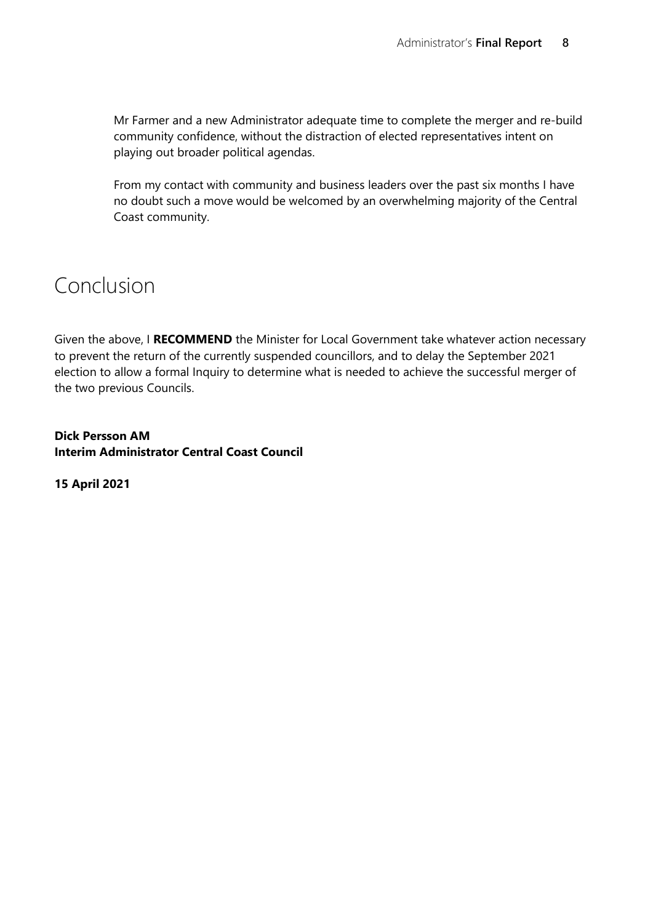Mr Farmer and a new Administrator adequate time to complete the merger and re-build community confidence, without the distraction of elected representatives intent on playing out broader political agendas.

From my contact with community and business leaders over the past six months I have no doubt such a move would be welcomed by an overwhelming majority of the Central Coast community.

### Conclusion

Given the above, I **RECOMMEND** the Minister for Local Government take whatever action necessary to prevent the return of the currently suspended councillors, and to delay the September 2021 election to allow a formal Inquiry to determine what is needed to achieve the successful merger of the two previous Councils.

**Dick Persson AM Interim Administrator Central Coast Council**

**15 April 2021**